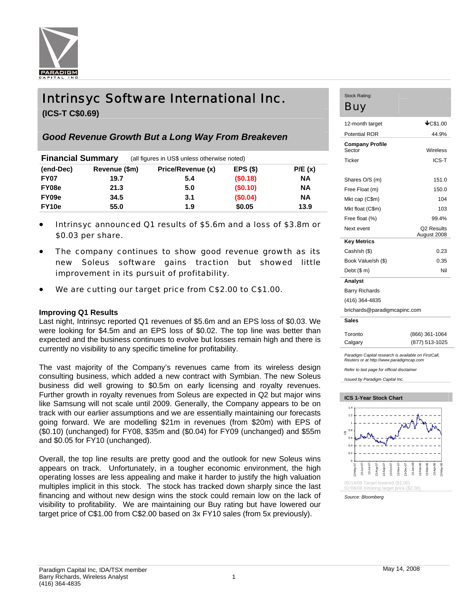

# Intrinsyc Software International Inc.

**(ICS-T C\$0.69)** 

## *Good Revenue Growth But a Long Way From Breakeven*

| <b>Financial Summary</b> |               | (all figures in US\$ unless otherwise noted) |          |           |  |  |
|--------------------------|---------------|----------------------------------------------|----------|-----------|--|--|
| (end-Dec)                | Revenue (\$m) | Price/Revenue (x)                            | EPS(S)   | P/E(x)    |  |  |
| <b>FY07</b>              | 19.7          | 5.4                                          | (\$0.18) | <b>NA</b> |  |  |
| FY08e                    | 21.3          | 5.0                                          | (\$0.10) | <b>NA</b> |  |  |
| FY09e                    | 34.5          | 3.1                                          | (\$0.04) | <b>NA</b> |  |  |
| FY10e                    | 55.0          | 1.9                                          | \$0.05   | 13.9      |  |  |

- Intrinsyc announced Q1 results of \$5.6m and a loss of \$3.8m or \$0.03 per share.
- The company continues to show good revenue growth as its new Soleus software gains traction but showed little improvement in its pursuit of profitability.
- We are cutting our target price from C\$2.00 to C\$1.00.

## **Improving Q1 Results**

Last night, Intrinsyc reported Q1 revenues of \$5.6m and an EPS loss of \$0.03. We were looking for \$4.5m and an EPS loss of \$0.02. The top line was better than expected and the business continues to evolve but losses remain high and there is currently no visibility to any specific timeline for profitability.

The vast majority of the Company's revenues came from its wireless design consulting business, which added a new contract with Symbian. The new Soleus business did well growing to \$0.5m on early licensing and royalty revenues. Further growth in royalty revenues from Soleus are expected in Q2 but major wins like Samsung will not scale until 2009. Generally, the Company appears to be on track with our earlier assumptions and we are essentially maintaining our forecasts going forward. We are modelling \$21m in revenues (from \$20m) with EPS of (\$0.10) (unchanged) for FY08, \$35m and (\$0.04) for FY09 (unchanged) and \$55m and \$0.05 for FY10 (unchanged).

Overall, the top line results are pretty good and the outlook for new Soleus wins appears on track. Unfortunately, in a tougher economic environment, the high operating losses are less appealing and make it harder to justify the high valuation multiples implicit in this stock. The stock has tracked down sharply since the last financing and without new design wins the stock could remain low on the lack of visibility to profitability. We are maintaining our Buy rating but have lowered our target price of C\$1.00 from C\$2.00 based on 3x FY10 sales (from 5x previously).

## Stock Rating: Buy

| 12-month target                                      | $\bigstar$ C\$1.00 |  |  |  |  |  |
|------------------------------------------------------|--------------------|--|--|--|--|--|
| <b>Potential ROR</b>                                 | 44.9%              |  |  |  |  |  |
| <b>Company Profile</b><br>Sector                     | Wireless           |  |  |  |  |  |
| <b>Ticker</b>                                        | ICS-T              |  |  |  |  |  |
|                                                      |                    |  |  |  |  |  |
| Shares O/S (m)                                       | 151.0              |  |  |  |  |  |
| Free Float (m)                                       | 150.0              |  |  |  |  |  |
| Mkt cap (C\$m)                                       | 104                |  |  |  |  |  |
| Mkt float (C\$m)                                     | 103                |  |  |  |  |  |
| Free float (%)                                       | 99.4%              |  |  |  |  |  |
| Next event                                           | Q2 Results         |  |  |  |  |  |
| <b>Key Metrics</b>                                   | August 2008        |  |  |  |  |  |
| Cash/sh (\$)                                         | 0.23               |  |  |  |  |  |
| Book Value/sh (\$)                                   | 0.35               |  |  |  |  |  |
| Debt $($m)$                                          | Nil                |  |  |  |  |  |
| Analyst                                              |                    |  |  |  |  |  |
| <b>Barry Richards</b>                                |                    |  |  |  |  |  |
| (416) 364-4835                                       |                    |  |  |  |  |  |
| brichards@paradigmcapinc.com                         |                    |  |  |  |  |  |
| <b>Sales</b>                                         |                    |  |  |  |  |  |
| Toronto                                              | (866) 361-1064     |  |  |  |  |  |
| Calgary                                              | (877) 513-1025     |  |  |  |  |  |
| Paradigm Capital research is available on FirstCall, |                    |  |  |  |  |  |

*Reuters or at http://www.paradigmcap.com* 

*Refer to last page for official disclaimer* 

*Issued by Paradigm Capital Inc.* 



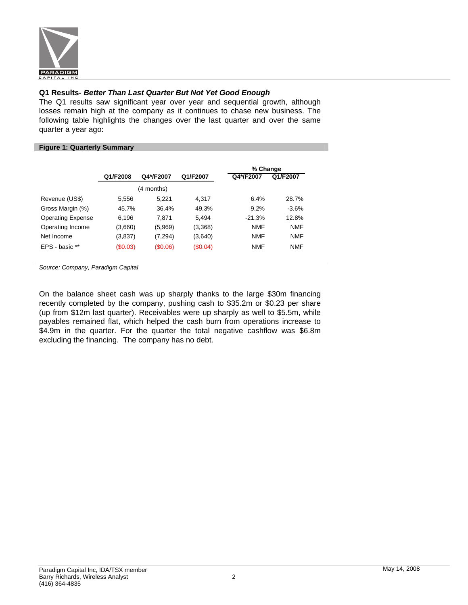

## **Q1 Results-** *Better Than Last Quarter But Not Yet Good Enough*

The Q1 results saw significant year over year and sequential growth, although losses remain high at the company as it continues to chase new business. The following table highlights the changes over the last quarter and over the same quarter a year ago:

## **Figure 1: Quarterly Summary**

|                          |          |            |          |            | % Change   |  |  |
|--------------------------|----------|------------|----------|------------|------------|--|--|
|                          | Q1/F2008 | Q4*/F2007  | Q1/F2007 | Q4*/F2007  | Q1/F2007   |  |  |
|                          |          | (4 months) |          |            |            |  |  |
| Revenue (US\$)           | 5.556    | 5.221      | 4.317    | 6.4%       | 28.7%      |  |  |
| Gross Margin (%)         | 45.7%    | 36.4%      | 49.3%    | 9.2%       | $-3.6%$    |  |  |
| <b>Operating Expense</b> | 6,196    | 7.871      | 5.494    | $-21.3%$   | 12.8%      |  |  |
| Operating Income         | (3,660)  | (5,969)    | (3,368)  | <b>NMF</b> | <b>NMF</b> |  |  |
| Net Income               | (3,837)  | (7, 294)   | (3,640)  | <b>NMF</b> | <b>NMF</b> |  |  |
| EPS - basic **           | (S0.03)  | (S0.06)    | (S0.04)  | <b>NMF</b> | <b>NMF</b> |  |  |

*Source: Company, Paradigm Capital* 

On the balance sheet cash was up sharply thanks to the large \$30m financing recently completed by the company, pushing cash to \$35.2m or \$0.23 per share (up from \$12m last quarter). Receivables were up sharply as well to \$5.5m, while payables remained flat, which helped the cash burn from operations increase to \$4.9m in the quarter. For the quarter the total negative cashflow was \$6.8m excluding the financing. The company has no debt.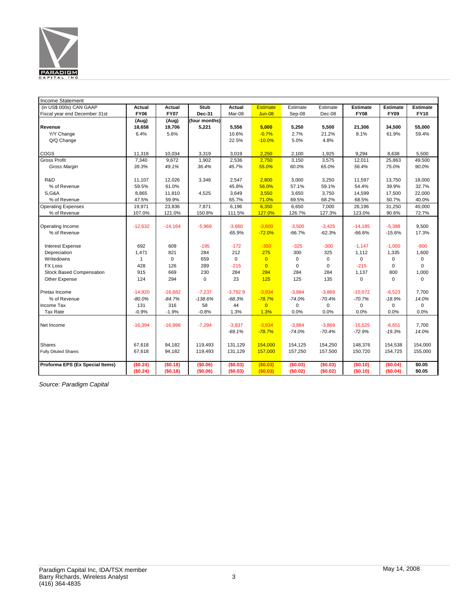

| Income Statement                |              |             |               |             |                 |             |             |                 |                 |                 |
|---------------------------------|--------------|-------------|---------------|-------------|-----------------|-------------|-------------|-----------------|-----------------|-----------------|
| (in US\$ 000s) CAN GAAP         | Actual       | Actual      | Stub          | Actual      | <b>Estimate</b> | Estimate    | Estimate    | <b>Estimate</b> | <b>Estimate</b> | <b>Estimate</b> |
| Fiscal year end December 31st   | <b>FY06</b>  | <b>FY07</b> | Dec-31        | Mar-08      | $Jun-08$        | Sep-08      | Dec-08      | <b>FY08</b>     | <b>FY09</b>     | <b>FY10</b>     |
|                                 | (Aug)        | (Aug)       | (four months) |             |                 |             |             |                 |                 |                 |
| Revenue                         | 18,658       | 19,706      | 5,221         | 5,556       | 5,000           | 5,250       | 5,500       | 21,306          | 34,500          | 55,000          |
| Y/Y Change                      | 6.4%         | 5.6%        |               | 10.6%       | $-0.7%$         | 2.7%        | 21.2%       | 8.1%            | 61.9%           | 59.4%           |
| Q/Q Change                      |              |             |               | 22.5%       | $-10.0%$        | 5.0%        | 4.8%        |                 |                 |                 |
|                                 |              |             |               |             |                 |             |             |                 |                 |                 |
| COGS                            | 11,318       | 10,034      | 3,319         | 3,019       | 2,250           | 2,100       | 1,925       | 9,294           | 8,638           | 5,500           |
| <b>Gross Profit</b>             | 7,340        | 9,672       | 1,902         | 2,536       | 2,750           | 3,150       | 3,575       | 12,011          | 25,863          | 49,500          |
| Gross Margin                    | 39.3%        | 49.1%       | 36.4%         | 45.7%       | 55.0%           | 60.0%       | 65.0%       | 56.4%           | 75.0%           | 90.0%           |
|                                 |              |             |               |             |                 |             |             |                 |                 |                 |
| R&D                             | 11,107       | 12,026      | 3,346         | 2,547       | 2,800           | 3,000       | 3,250       | 11,597          | 13,750          | 18,000          |
| % of Revenue                    | 59.5%        | 61.0%       |               | 45.8%       | 56.0%           | 57.1%       | 59.1%       | 54.4%           | 39.9%           | 32.7%           |
| <b>S,G&amp;A</b>                | 8,865        | 11,810      | 4,525         | 3,649       | 3,550           | 3,650       | 3,750       | 14,599          | 17,500          | 22,000          |
| % of Revenue                    | 47.5%        | 59.9%       |               | 65.7%       | 71.0%           | 69.5%       | 68.2%       | 68.5%           | 50.7%           | 40.0%           |
| <b>Operating Expenses</b>       | 19,971       | 23,836      | 7,871         | 6,196       | 6,350           | 6,650       | 7,000       | 26,196          | 31,250          | 40,000          |
| % of Revenue                    | 107.0%       | 121.0%      | 150.8%        | 111.5%      | 127.0%          | 126.7%      | 127.3%      | 123.0%          | 90.6%           | 72.7%           |
|                                 |              |             |               |             |                 |             |             |                 |                 |                 |
| Operating Income                | $-12,632$    | $-14,164$   | $-5,969$      | $-3,660$    | $-3,600$        | $-3,500$    | $-3,425$    | $-14,185$       | $-5,388$        | 9,500           |
| % of Revenue                    |              |             |               | $-65.9%$    | $-72.0%$        | $-66.7%$    | $-62.3%$    | $-66.6%$        | $-15.6%$        | 17.3%           |
|                                 |              |             |               |             |                 |             |             |                 |                 |                 |
| <b>Interest Expense</b>         | 692          | 609         | $-195$        | $-172$      | $-350$          | $-325$      | $-300$      | $-1,147$        | $-1,000$        | $-800$          |
| Depreciation                    | 1,471        | 821         | 284           | 212         | 275             | 300         | 325         | 1,112           | 1,335           | 1,600           |
| Writedowns                      | $\mathbf{1}$ | $\mathbf 0$ | 659           | $\mathbf 0$ | $\overline{0}$  | $\mathsf 0$ | $\mathbf 0$ | $\mathbf 0$     | 0               | 0               |
| <b>FX Loss</b>                  | 428          | 126         | 289           | $-215$      | $\overline{0}$  | $\mathbf 0$ | 0           | $-215$          | 0               | 0               |
| <b>Stock Based Compensation</b> | 915          | 669         | 230           | 284         | 284             | 284         | 284         | 1,137           | 800             | 1,000           |
| Other Expense                   | 124          | 294         | $\Omega$      | 23          | 125             | 125         | 135         | $\mathbf 0$     | 0               | $\Omega$        |
|                                 |              |             |               |             |                 |             |             |                 |                 |                 |
| Pretax Income                   | $-14,920$    | $-16,682$   | $-7,237$      | $-3,792.9$  | $-3,934$        | $-3,884$    | $-3,869$    | $-15,072$       | $-6,523$        | 7,700           |
| % of Revenue                    | $-80.0%$     | $-84.7%$    | $-138.6%$     | $-68.3%$    | $-78.7%$        | $-74.0%$    | $-70.4%$    | $-70.7%$        | $-18.9%$        | 14.0%           |
| Income Tax                      | 131          | 316         | 58            | 44          | $\overline{0}$  | 0           | $\mathbf 0$ | 0               | 0               | $\mathbf 0$     |
| Tax Rate                        | $-0.9%$      | $-1.9%$     | $-0.8%$       | 1.3%        | 1.3%            | 0.0%        | 0.0%        | 0.0%            | 0.0%            | 0.0%            |
|                                 |              |             |               |             |                 |             |             |                 |                 |                 |
| Net Income                      | $-16,394$    | $-16,998$   | $-7,294$      | $-3,837$    | $-3,934$        | $-3,884$    | $-3,869$    | $-15,525$       | $-6,651$        | 7,700           |
|                                 |              |             |               | $-69.1%$    | $-78.7%$        | $-74.0%$    | $-70.4%$    | $-72.9%$        | $-19.3%$        | 14.0%           |
| Shares                          | 67,618       | 94,182      | 119,493       | 131,129     | 154,000         | 154,125     | 154,250     | 148,376         | 154,538         | 154,000         |
|                                 |              |             |               |             |                 |             |             |                 |                 |                 |
| <b>Fully Diluted Shares</b>     | 67,618       | 94,182      | 119,493       | 131,129     | 157,000         | 157,250     | 157,500     | 150,720         | 154,725         | 155,000         |
| Proforma EPS (Ex Special Items) | (\$0.24)     | (\$0.18)    | (\$0.06)      | (\$0.03)    | (\$0.03)        | (\$0.03)    | (\$0.03)    | (\$0.10)        | (S0.04)         | \$0.05          |
|                                 | (\$0.24)     | (S0.18)     | (\$0.06)      | (\$0.03)    | (S0.03)         | (\$0.02)    | (S0.02)     | (\$0.10)        | (\$0.04)        | \$0.05          |
|                                 |              |             |               |             |                 |             |             |                 |                 |                 |

*Source: Paradigm Capital*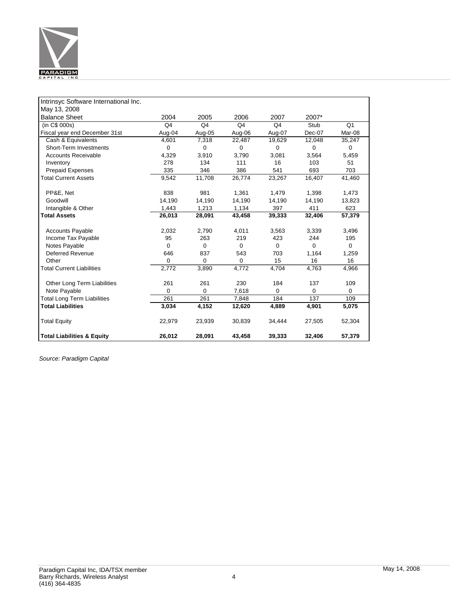

| Intrinsyc Software International Inc. |                |                |                |                |          |                 |
|---------------------------------------|----------------|----------------|----------------|----------------|----------|-----------------|
| May 13, 2008                          |                |                |                |                |          |                 |
| <b>Balance Sheet</b>                  | 2004           | 2005           | 2006           | 2007           | 2007*    |                 |
| (in C\$ 000s)                         | Q <sub>4</sub> | Q <sub>4</sub> | Q <sub>4</sub> | Q <sub>4</sub> | Stub     | $\overline{Q1}$ |
| Fiscal year end December 31st         | Aug-04         | Aug-05         | Aug-06         | Aug-07         | Dec-07   | Mar-08          |
| Cash & Equivalents                    | 4,601          | 7,318          | 22,487         | 19,629         | 12,048   | 35,247          |
| Short-Term Investments                | $\mathbf 0$    | $\mathbf 0$    | $\Omega$       | $\Omega$       | $\Omega$ | $\mathbf 0$     |
| <b>Accounts Receivable</b>            | 4,329          | 3,910          | 3,790          | 3,081          | 3,564    | 5,459           |
| Inventory                             | 278            | 134            | 111            | 16             | 103      | 51              |
| <b>Prepaid Expenses</b>               | 335            | 346            | 386            | 541            | 693      | 703             |
| <b>Total Current Assets</b>           | 9,542          | 11,708         | 26,774         | 23,267         | 16,407   | 41,460          |
|                                       |                |                |                |                |          |                 |
| PP&E, Net                             | 838            | 981            | 1,361          | 1,479          | 1,398    | 1,473           |
| Goodwill                              | 14,190         | 14,190         | 14,190         | 14,190         | 14,190   | 13,823          |
| Intangible & Other                    | 1,443          | 1,213          | 1,134          | 397            | 411      | 623             |
| <b>Total Assets</b>                   | 26,013         | 28,091         | 43,458         | 39,333         | 32,406   | 57,379          |
|                                       |                |                |                |                |          |                 |
| <b>Accounts Payable</b>               | 2,032          | 2,790          | 4,011          | 3,563          | 3,339    | 3,496           |
| Income Tax Payable                    | 95             | 263            | 219            | 423            | 244      | 195             |
| Notes Payable                         | $\Omega$       | $\Omega$       | $\Omega$       | $\Omega$       | $\Omega$ | $\mathbf 0$     |
| <b>Deferred Revenue</b>               | 646            | 837            | 543            | 703            | 1,164    | 1,259           |
| Other                                 | 0              | 0              | U              | 15             | 16       | 16              |
| <b>Total Current Liabilities</b>      | 2,772          | 3,890          | 4.772          | 4.704          | 4.763    | 4,966           |
| Other Long Term Liabilities           | 261            | 261            | 230            | 184            | 137      | 109             |
| Note Payable                          | $\Omega$       | $\Omega$       | 7,618          | 0              | $\Omega$ | $\Omega$        |
| <b>Total Long Term Liabilities</b>    | <br>261        | 261            | 7,848          | 184            | 137      | 109             |
| <b>Total Liabilities</b>              | 3,034          | 4,152          | 12,620         | 4,889          | 4,901    | 5,075           |
|                                       |                |                |                |                |          |                 |
| <b>Total Equity</b>                   | 22,979         | 23,939         | 30,839         | 34,444         | 27,505   | 52,304          |
|                                       |                |                |                |                |          |                 |
| <b>Total Liabilities &amp; Equity</b> | 26,012         | 28,091         | 43.458         | 39,333         | 32,406   | 57,379          |

*Source: Paradigm Capital*